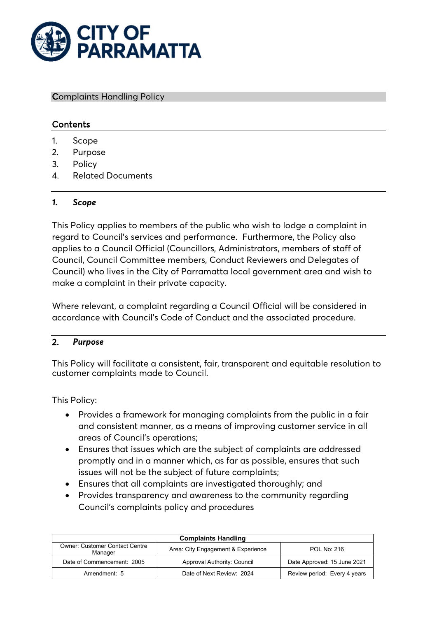

#### Complaints Handling Policy

### **Contents**

- 1. Scope
- 2. Purpose
- 3. Policy
- 4. Related Documents

#### *1. Scope*

This Policy applies to members of the public who wish to lodge a complaint in regard to Council's services and performance. Furthermore, the Policy also applies to a Council Official (Councillors, Administrators, members of staff of Council, Council Committee members, Conduct Reviewers and Delegates of Council) who lives in the City of Parramatta local government area and wish to make a complaint in their private capacity.

Where relevant, a complaint regarding a Council Official will be considered in accordance with Council's Code of Conduct and the associated procedure.

#### 2. *Purpose*

This Policy will facilitate a consistent, fair, transparent and equitable resolution to customer complaints made to Council.

This Policy:

- Provides a framework for managing complaints from the public in a fair and consistent manner, as a means of improving customer service in all areas of Council's operations;
- Ensures that issues which are the subject of complaints are addressed promptly and in a manner which, as far as possible, ensures that such issues will not be the subject of future complaints;
- Ensures that all complaints are investigated thoroughly; and
- Provides transparency and awareness to the community regarding Council's complaints policy and procedures

| <b>Complaints Handling</b>                                                                            |                             |                              |
|-------------------------------------------------------------------------------------------------------|-----------------------------|------------------------------|
| <b>Owner: Customer Contact Centre</b><br>Area: City Engagement & Experience<br>POL No: 216<br>Manager |                             |                              |
| Date of Commencement: 2005                                                                            | Approval Authority: Council | Date Approved: 15 June 2021  |
| Amendment: 5                                                                                          | Date of Next Review: 2024   | Review period: Every 4 years |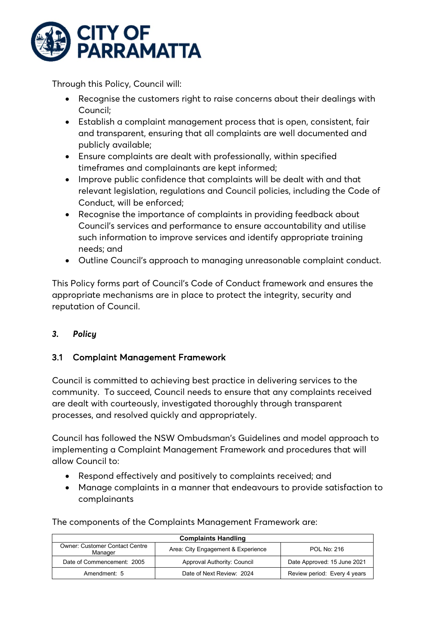

Through this Policy, Council will:

- Recognise the customers right to raise concerns about their dealings with Council;
- Establish a complaint management process that is open, consistent, fair and transparent, ensuring that all complaints are well documented and publicly available;
- Ensure complaints are dealt with professionally, within specified timeframes and complainants are kept informed;
- Improve public confidence that complaints will be dealt with and that relevant legislation, regulations and Council policies, including the Code of Conduct, will be enforced;
- Recognise the importance of complaints in providing feedback about Council's services and performance to ensure accountability and utilise such information to improve services and identify appropriate training needs; and
- Outline Council's approach to managing unreasonable complaint conduct.

This Policy forms part of Council's Code of Conduct framework and ensures the appropriate mechanisms are in place to protect the integrity, security and reputation of Council.

## *3. Policy*

### 3.1 Complaint Management Framework

Council is committed to achieving best practice in delivering services to the community. To succeed, Council needs to ensure that any complaints received are dealt with courteously, investigated thoroughly through transparent processes, and resolved quickly and appropriately.

Council has followed the NSW Ombudsman's Guidelines and model approach to implementing a Complaint Management Framework and procedures that will allow Council to:

- Respond effectively and positively to complaints received; and
- Manage complaints in a manner that endeavours to provide satisfaction to complainants

| <b>Complaints Handling</b>                       |                                    |                              |
|--------------------------------------------------|------------------------------------|------------------------------|
| <b>Owner: Customer Contact Centre</b><br>Manager | Area: City Engagement & Experience | <b>POL No: 216</b>           |
| Date of Commencement: 2005                       | Approval Authority: Council        | Date Approved: 15 June 2021  |
| Amendment: 5                                     | Date of Next Review: 2024          | Review period: Every 4 years |

The components of the Complaints Management Framework are: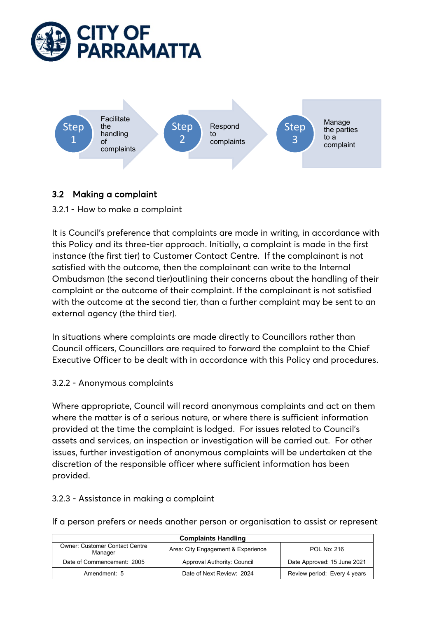



# 3.2 Making a complaint

3.2.1 - How to make a complaint

It is Council's preference that complaints are made in writing, in accordance with this Policy and its three-tier approach. Initially, a complaint is made in the first instance (the first tier) to Customer Contact Centre. If the complainant is not satisfied with the outcome, then the complainant can write to the Internal Ombudsman (the second tier)outlining their concerns about the handling of their complaint or the outcome of their complaint. If the complainant is not satisfied with the outcome at the second tier, than a further complaint may be sent to an external agency (the third tier).

In situations where complaints are made directly to Councillors rather than Council officers, Councillors are required to forward the complaint to the Chief Executive Officer to be dealt with in accordance with this Policy and procedures.

### 3.2.2 - Anonymous complaints

Where appropriate, Council will record anonymous complaints and act on them where the matter is of a serious nature, or where there is sufficient information provided at the time the complaint is lodged. For issues related to Council's assets and services, an inspection or investigation will be carried out. For other issues, further investigation of anonymous complaints will be undertaken at the discretion of the responsible officer where sufficient information has been provided.

### 3.2.3 - Assistance in making a complaint

If a person prefers or needs another person or organisation to assist or represent

| <b>Complaints Handling</b>                                                                            |                             |                              |
|-------------------------------------------------------------------------------------------------------|-----------------------------|------------------------------|
| <b>Owner: Customer Contact Centre</b><br>Area: City Engagement & Experience<br>POL No: 216<br>Manager |                             |                              |
| Date of Commencement: 2005                                                                            | Approval Authority: Council | Date Approved: 15 June 2021  |
| Amendment: 5                                                                                          | Date of Next Review: 2024   | Review period: Every 4 years |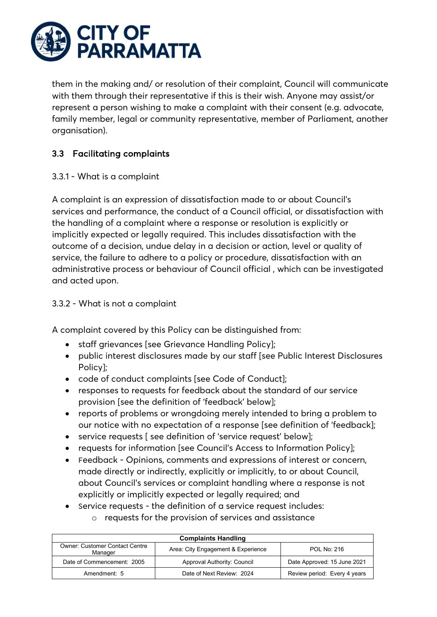

them in the making and/ or resolution of their complaint, Council will communicate with them through their representative if this is their wish. Anyone may assist/or represent a person wishing to make a complaint with their consent (e.g. advocate, family member, legal or community representative, member of Parliament, another organisation).

## 3.3 Facilitating complaints

### 3.3.1 - What is a complaint

A complaint is an expression of dissatisfaction made to or about Council's services and performance, the conduct of a Council official, or dissatisfaction with the handling of a complaint where a response or resolution is explicitly or implicitly expected or legally required. This includes dissatisfaction with the outcome of a decision, undue delay in a decision or action, level or quality of service, the failure to adhere to a policy or procedure, dissatisfaction with an administrative process or behaviour of Council official , which can be investigated and acted upon.

### 3.3.2 - What is not a complaint

A complaint covered by this Policy can be distinguished from:

- staff grievances [see Grievance Handling Policy];
- public interest disclosures made by our staff [see Public Interest Disclosures Policy];
- code of conduct complaints [see Code of Conduct];
- responses to requests for feedback about the standard of our service provision [see the definition of 'feedback' below];
- reports of problems or wrongdoing merely intended to bring a problem to our notice with no expectation of a response [see definition of 'feedback];
- service requests [ see definition of 'service request' below];
- requests for information [see Council's Access to Information Policy];
- Feedback Opinions, comments and expressions of interest or concern, made directly or indirectly, explicitly or implicitly, to or about Council, about Council's services or complaint handling where a response is not explicitly or implicitly expected or legally required; and
- Service requests the definition of a service request includes:
	- o requests for the provision of services and assistance

| <b>Complaints Handling</b>                       |                                    |                              |
|--------------------------------------------------|------------------------------------|------------------------------|
| <b>Owner: Customer Contact Centre</b><br>Manager | Area: City Engagement & Experience | POL No: 216                  |
| Date of Commencement: 2005                       | Approval Authority: Council        | Date Approved: 15 June 2021  |
| Amendment: 5                                     | Date of Next Review: 2024          | Review period: Every 4 years |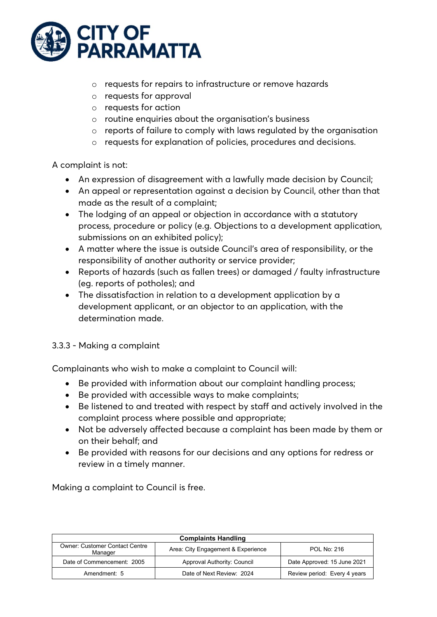

- o requests for repairs to infrastructure or remove hazards
- o requests for approval
- o requests for action
- o routine enquiries about the organisation's business
- o reports of failure to comply with laws regulated by the organisation
- o requests for explanation of policies, procedures and decisions.

#### A complaint is not:

- An expression of disagreement with a lawfully made decision by Council;
- An appeal or representation against a decision by Council, other than that made as the result of a complaint;
- The lodging of an appeal or objection in accordance with a statutory process, procedure or policy (e.g. Objections to a development application, submissions on an exhibited policy);
- A matter where the issue is outside Council's area of responsibility, or the responsibility of another authority or service provider;
- Reports of hazards (such as fallen trees) or damaged / faulty infrastructure (eg. reports of potholes); and
- The dissatisfaction in relation to a development application by a development applicant, or an objector to an application, with the determination made.

#### 3.3.3 - Making a complaint

Complainants who wish to make a complaint to Council will:

- Be provided with information about our complaint handling process;
- Be provided with accessible ways to make complaints;
- Be listened to and treated with respect by staff and actively involved in the complaint process where possible and appropriate;
- Not be adversely affected because a complaint has been made by them or on their behalf; and
- Be provided with reasons for our decisions and any options for redress or review in a timely manner.

Making a complaint to Council is free.

| <b>Complaints Handling</b>                                                                            |                             |                              |
|-------------------------------------------------------------------------------------------------------|-----------------------------|------------------------------|
| <b>Owner: Customer Contact Centre</b><br>Area: City Engagement & Experience<br>POL No: 216<br>Manager |                             |                              |
| Date of Commencement: 2005                                                                            | Approval Authority: Council | Date Approved: 15 June 2021  |
| Amendment: 5                                                                                          | Date of Next Review: 2024   | Review period: Every 4 years |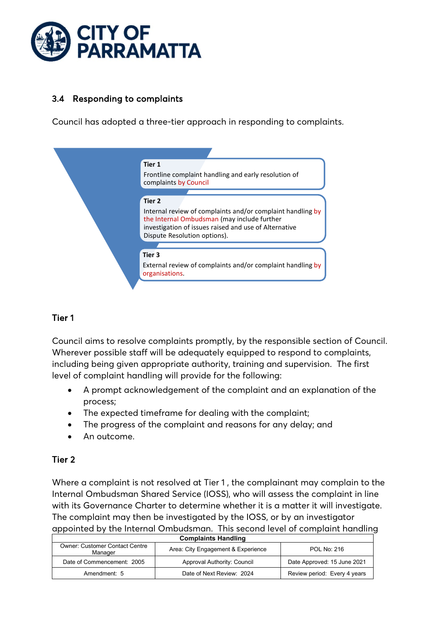

## 3.4 Responding to complaints

Council has adopted a three-tier approach in responding to complaints.



## Tier 1

Council aims to resolve complaints promptly, by the responsible section of Council. Wherever possible staff will be adequately equipped to respond to complaints, including being given appropriate authority, training and supervision. The first level of complaint handling will provide for the following:

- A prompt acknowledgement of the complaint and an explanation of the process;
- The expected timeframe for dealing with the complaint;
- The progress of the complaint and reasons for any delay; and
- An outcome.

## Tier 2

Where a complaint is not resolved at Tier 1 , the complainant may complain to the Internal Ombudsman Shared Service (IOSS), who will assess the complaint in line with its Governance Charter to determine whether it is a matter it will investigate. The complaint may then be investigated by the IOSS, or by an investigator appointed by the Internal Ombudsman. This second level of complaint handling

| <b>Complaints Handling</b>                                                                            |                             |                              |
|-------------------------------------------------------------------------------------------------------|-----------------------------|------------------------------|
| <b>Owner: Customer Contact Centre</b><br>Area: City Engagement & Experience<br>POL No: 216<br>Manager |                             |                              |
| Date of Commencement: 2005                                                                            | Approval Authority: Council | Date Approved: 15 June 2021  |
| Amendment: 5                                                                                          | Date of Next Review: 2024   | Review period: Every 4 years |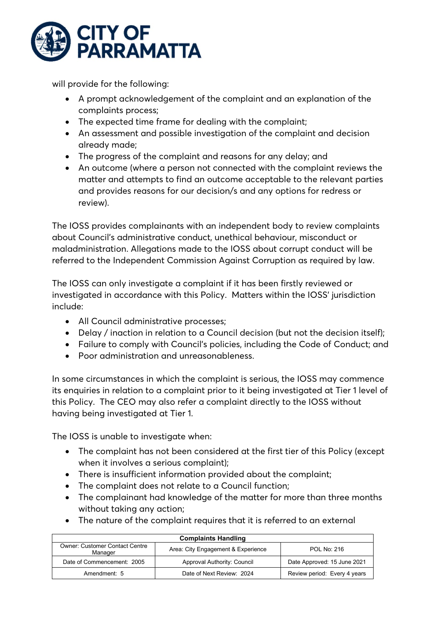

will provide for the following:

- A prompt acknowledgement of the complaint and an explanation of the complaints process;
- The expected time frame for dealing with the complaint;
- An assessment and possible investigation of the complaint and decision already made;
- The progress of the complaint and reasons for any delay; and
- An outcome (where a person not connected with the complaint reviews the matter and attempts to find an outcome acceptable to the relevant parties and provides reasons for our decision/s and any options for redress or review).

The IOSS provides complainants with an independent body to review complaints about Council's administrative conduct, unethical behaviour, misconduct or maladministration. Allegations made to the IOSS about corrupt conduct will be referred to the Independent Commission Against Corruption as required by law.

The IOSS can only investigate a complaint if it has been firstly reviewed or investigated in accordance with this Policy. Matters within the IOSS' jurisdiction include:

- All Council administrative processes;
- Delay / inaction in relation to a Council decision (but not the decision itself);
- Failure to comply with Council's policies, including the Code of Conduct; and
- Poor administration and unreasonableness.

In some circumstances in which the complaint is serious, the IOSS may commence its enquiries in relation to a complaint prior to it being investigated at Tier 1 level of this Policy. The CEO may also refer a complaint directly to the IOSS without having being investigated at Tier 1.

The IOSS is unable to investigate when:

- The complaint has not been considered at the first tier of this Policy (except when it involves a serious complaint);
- There is insufficient information provided about the complaint;
- The complaint does not relate to a Council function;
- The complainant had knowledge of the matter for more than three months without taking any action;
- The nature of the complaint requires that it is referred to an external

| <b>Complaints Handling</b>                       |                                    |                              |
|--------------------------------------------------|------------------------------------|------------------------------|
| <b>Owner: Customer Contact Centre</b><br>Manager | Area: City Engagement & Experience | POL No: 216                  |
| Date of Commencement: 2005                       | Approval Authority: Council        | Date Approved: 15 June 2021  |
| Amendment: 5                                     | Date of Next Review: 2024          | Review period: Every 4 years |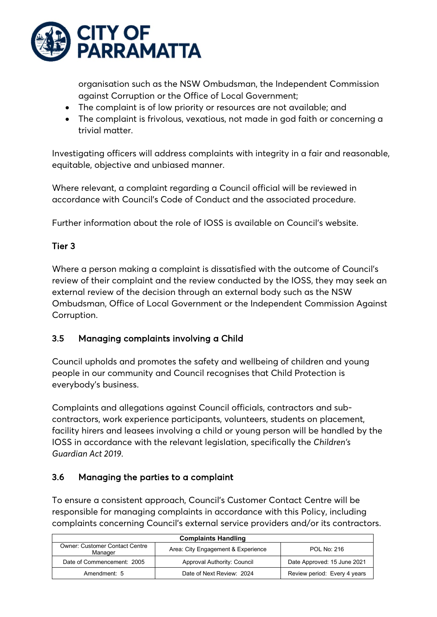

organisation such as the NSW Ombudsman, the Independent Commission against Corruption or the Office of Local Government;

- The complaint is of low priority or resources are not available; and
- The complaint is frivolous, vexatious, not made in god faith or concerning a trivial matter.

Investigating officers will address complaints with integrity in a fair and reasonable, equitable, objective and unbiased manner.

Where relevant, a complaint regarding a Council official will be reviewed in accordance with Council's Code of Conduct and the associated procedure.

Further information about the role of IOSS is available on Council's website.

## Tier 3

Where a person making a complaint is dissatisfied with the outcome of Council's review of their complaint and the review conducted by the IOSS, they may seek an external review of the decision through an external body such as the NSW Ombudsman, Office of Local Government or the Independent Commission Against Corruption.

# 3.5 Managing complaints involving a Child

Council upholds and promotes the safety and wellbeing of children and young people in our community and Council recognises that Child Protection is everybody's business.

Complaints and allegations against Council officials, contractors and subcontractors, work experience participants, volunteers, students on placement, facility hirers and leasees involving a child or young person will be handled by the IOSS in accordance with the relevant legislation, specifically the *Children's Guardian Act 2019*.

## 3.6 Managing the parties to a complaint

To ensure a consistent approach, Council's Customer Contact Centre will be responsible for managing complaints in accordance with this Policy, including complaints concerning Council's external service providers and/or its contractors.

| <b>Complaints Handling</b>                       |                                    |                              |
|--------------------------------------------------|------------------------------------|------------------------------|
| <b>Owner: Customer Contact Centre</b><br>Manager | Area: City Engagement & Experience | POL No: 216                  |
| Date of Commencement: 2005                       | Approval Authority: Council        | Date Approved: 15 June 2021  |
| Amendment: 5                                     | Date of Next Review: 2024          | Review period: Every 4 years |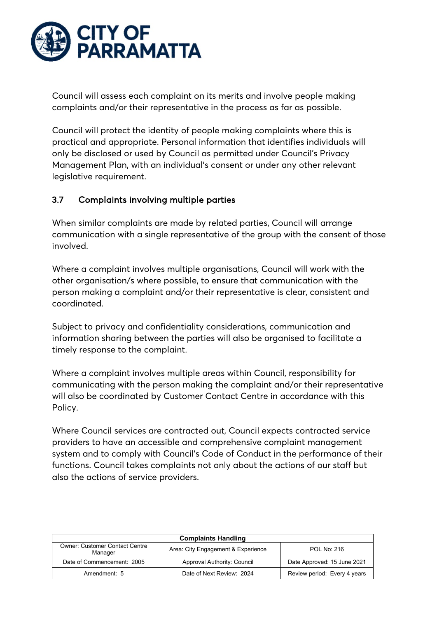

Council will assess each complaint on its merits and involve people making complaints and/or their representative in the process as far as possible.

Council will protect the identity of people making complaints where this is practical and appropriate. Personal information that identifies individuals will only be disclosed or used by Council as permitted under Council's Privacy Management Plan, with an individual's consent or under any other relevant legislative requirement.

### 3.7 Complaints involving multiple parties

When similar complaints are made by related parties, Council will arrange communication with a single representative of the group with the consent of those involved.

Where a complaint involves multiple organisations, Council will work with the other organisation/s where possible, to ensure that communication with the person making a complaint and/or their representative is clear, consistent and coordinated.

Subject to privacy and confidentiality considerations, communication and information sharing between the parties will also be organised to facilitate a timely response to the complaint.

Where a complaint involves multiple areas within Council, responsibility for communicating with the person making the complaint and/or their representative will also be coordinated by Customer Contact Centre in accordance with this Policy.

Where Council services are contracted out, Council expects contracted service providers to have an accessible and comprehensive complaint management system and to comply with Council's Code of Conduct in the performance of their functions. Council takes complaints not only about the actions of our staff but also the actions of service providers.

| <b>Complaints Handling</b>                                                                            |                             |                              |  |
|-------------------------------------------------------------------------------------------------------|-----------------------------|------------------------------|--|
| <b>Owner: Customer Contact Centre</b><br>Area: City Engagement & Experience<br>POL No: 216<br>Manager |                             |                              |  |
| Date of Commencement: 2005                                                                            | Approval Authority: Council | Date Approved: 15 June 2021  |  |
| Amendment: 5                                                                                          | Date of Next Review: 2024   | Review period: Every 4 years |  |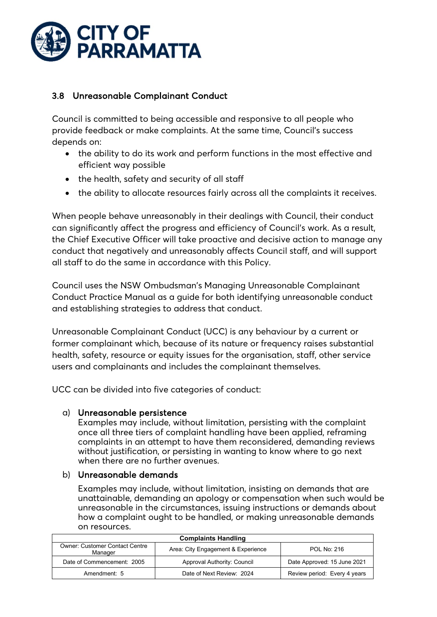

## 3.8 Unreasonable Complainant Conduct

Council is committed to being accessible and responsive to all people who provide feedback or make complaints. At the same time, Council's success depends on:

- the ability to do its work and perform functions in the most effective and efficient way possible
- the health, safety and security of all staff
- the ability to allocate resources fairly across all the complaints it receives.

When people behave unreasonably in their dealings with Council, their conduct can significantly affect the progress and efficiency of Council's work. As a result, the Chief Executive Officer will take proactive and decisive action to manage any conduct that negatively and unreasonably affects Council staff, and will support all staff to do the same in accordance with this Policy.

Council uses the NSW Ombudsman's Managing Unreasonable Complainant Conduct Practice Manual as a guide for both identifying unreasonable conduct and establishing strategies to address that conduct.

Unreasonable Complainant Conduct (UCC) is any behaviour by a current or former complainant which, because of its nature or frequency raises substantial health, safety, resource or equity issues for the organisation, staff, other service users and complainants and includes the complainant themselves.

UCC can be divided into five categories of conduct:

### a) Unreasonable persistence

Examples may include, without limitation, persisting with the complaint once all three tiers of complaint handling have been applied, reframing complaints in an attempt to have them reconsidered, demanding reviews without justification, or persisting in wanting to know where to go next when there are no further avenues.

#### b) Unreasonable demands

Examples may include, without limitation, insisting on demands that are unattainable, demanding an apology or compensation when such would be unreasonable in the circumstances, issuing instructions or demands about how a complaint ought to be handled, or making unreasonable demands on resources.

| <b>Complaints Handling</b>                       |                                    |                              |
|--------------------------------------------------|------------------------------------|------------------------------|
| <b>Owner: Customer Contact Centre</b><br>Manager | Area: City Engagement & Experience | POL No: 216                  |
| Date of Commencement: 2005                       | Approval Authority: Council        | Date Approved: 15 June 2021  |
| Amendment: 5                                     | Date of Next Review: 2024          | Review period: Every 4 years |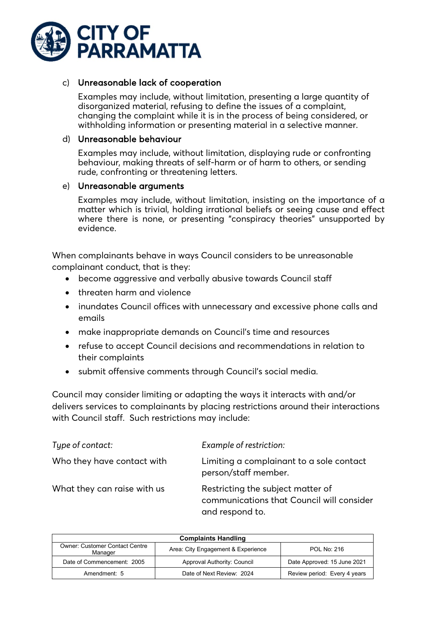

### c) Unreasonable lack of cooperation

Examples may include, without limitation, presenting a large quantity of disorganized material, refusing to define the issues of a complaint, changing the complaint while it is in the process of being considered, or withholding information or presenting material in a selective manner.

#### d) Unreasonable behaviour

Examples may include, without limitation, displaying rude or confronting behaviour, making threats of self-harm or of harm to others, or sending rude, confronting or threatening letters.

#### e) Unreasonable arguments

Examples may include, without limitation, insisting on the importance of a matter which is trivial, holding irrational beliefs or seeing cause and effect where there is none, or presenting "conspiracy theories" unsupported by evidence.

When complainants behave in ways Council considers to be unreasonable complainant conduct, that is they:

- become aggressive and verbally abusive towards Council staff
- threaten harm and violence
- inundates Council offices with unnecessary and excessive phone calls and emails
- make inappropriate demands on Council's time and resources
- refuse to accept Council decisions and recommendations in relation to their complaints
- submit offensive comments through Council's social media.

Council may consider limiting or adapting the ways it interacts with and/or delivers services to complainants by placing restrictions around their interactions with Council staff. Such restrictions may include:

| Type of contact:            | Example of restriction:                                                                           |
|-----------------------------|---------------------------------------------------------------------------------------------------|
| Who they have contact with  | Limiting a complainant to a sole contact<br>person/staff member.                                  |
| What they can raise with us | Restricting the subject matter of<br>communications that Council will consider<br>and respond to. |

| <b>Complaints Handling</b>                       |                                    |                              |
|--------------------------------------------------|------------------------------------|------------------------------|
| <b>Owner: Customer Contact Centre</b><br>Manager | Area: City Engagement & Experience | POL No: 216                  |
| Date of Commencement: 2005                       | Approval Authority: Council        | Date Approved: 15 June 2021  |
| Amendment: 5                                     | Date of Next Review: 2024          | Review period: Every 4 years |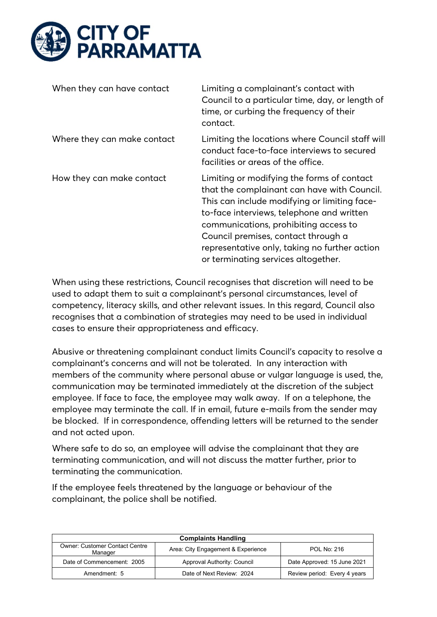

| When they can have contact  | Limiting a complainant's contact with<br>Council to a particular time, day, or length of<br>time, or curbing the frequency of their<br>contact.                                                                                                                                                                                                                |
|-----------------------------|----------------------------------------------------------------------------------------------------------------------------------------------------------------------------------------------------------------------------------------------------------------------------------------------------------------------------------------------------------------|
| Where they can make contact | Limiting the locations where Council staff will<br>conduct face-to-face interviews to secured<br>facilities or areas of the office.                                                                                                                                                                                                                            |
| How they can make contact   | Limiting or modifying the forms of contact<br>that the complainant can have with Council.<br>This can include modifying or limiting face-<br>to-face interviews, telephone and written<br>communications, prohibiting access to<br>Council premises, contact through a<br>representative only, taking no further action<br>or terminating services altogether. |

When using these restrictions, Council recognises that discretion will need to be used to adapt them to suit a complainant's personal circumstances, level of competency, literacy skills, and other relevant issues. In this regard, Council also recognises that a combination of strategies may need to be used in individual cases to ensure their appropriateness and efficacy.

Abusive or threatening complainant conduct limits Council's capacity to resolve a complainant's concerns and will not be tolerated. In any interaction with members of the community where personal abuse or vulgar language is used, the, communication may be terminated immediately at the discretion of the subject employee. If face to face, the employee may walk away. If on a telephone, the employee may terminate the call. If in email, future e-mails from the sender may be blocked. If in correspondence, offending letters will be returned to the sender and not acted upon.

Where safe to do so, an employee will advise the complainant that they are terminating communication, and will not discuss the matter further, prior to terminating the communication.

If the employee feels threatened by the language or behaviour of the complainant, the police shall be notified.

| <b>Complaints Handling</b>                       |                                    |                              |  |
|--------------------------------------------------|------------------------------------|------------------------------|--|
| <b>Owner: Customer Contact Centre</b><br>Manager | Area: City Engagement & Experience | POL No: 216                  |  |
| Date of Commencement: 2005                       | Approval Authority: Council        | Date Approved: 15 June 2021  |  |
| Amendment: 5                                     | Date of Next Review: 2024          | Review period: Every 4 years |  |